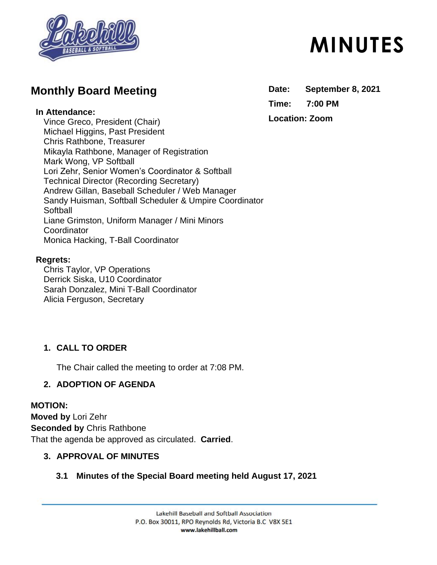

## **Monthly Board Meeting**

#### **In Attendance:**

Vince Greco, President (Chair) Michael Higgins, Past President Chris Rathbone, Treasurer Mikayla Rathbone, Manager of Registration Mark Wong, VP Softball Lori Zehr, Senior Women's Coordinator & Softball Technical Director (Recording Secretary) Andrew Gillan, Baseball Scheduler / Web Manager Sandy Huisman, Softball Scheduler & Umpire Coordinator **Softball** Liane Grimston, Uniform Manager / Mini Minors **Coordinator** Monica Hacking, T-Ball Coordinator

#### **Regrets:**

Chris Taylor, VP Operations Derrick Siska, U10 Coordinator Sarah Donzalez, Mini T-Ball Coordinator Alicia Ferguson, Secretary

## **1. CALL TO ORDER**

The Chair called the meeting to order at 7:08 PM.

## **2. ADOPTION OF AGENDA**

#### **MOTION:**

**Moved by** Lori Zehr **Seconded by** Chris Rathbone That the agenda be approved as circulated. **Carried**.

#### **3. APPROVAL OF MINUTES**

## **3.1 Minutes of the Special Board meeting held August 17, 2021**

# **MINUTES**

## **Date: September 8, 2021**

**Time: 7:00 PM**

## **Location: Zoom**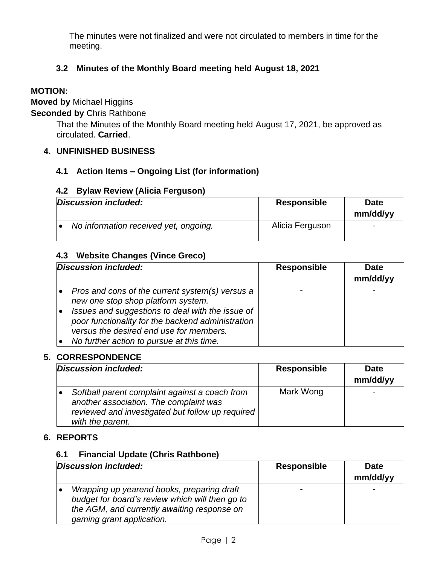The minutes were not finalized and were not circulated to members in time for the meeting.

## **3.2 Minutes of the Monthly Board meeting held August 18, 2021**

## **MOTION:**

**Moved by** Michael Higgins

**Seconded by** Chris Rathbone

That the Minutes of the Monthly Board meeting held August 17, 2021, be approved as circulated. **Carried**.

#### **4. UNFINISHED BUSINESS**

## **4.1 Action Items – Ongoing List (for information)**

#### **4.2 Bylaw Review (Alicia Ferguson)**

| Discussion included:                  | Responsible     | <b>Date</b><br>mm/dd/yy  |
|---------------------------------------|-----------------|--------------------------|
| No information received yet, ongoing. | Alicia Ferguson | $\overline{\phantom{0}}$ |

## **4.3 Website Changes (Vince Greco)**

| Discussion included:                                                                                                                                                                                                                                                                   | <b>Responsible</b> | <b>Date</b><br>mm/dd/yy |
|----------------------------------------------------------------------------------------------------------------------------------------------------------------------------------------------------------------------------------------------------------------------------------------|--------------------|-------------------------|
| Pros and cons of the current system(s) versus a<br>new one stop shop platform system.<br>Issues and suggestions to deal with the issue of<br>poor functionality for the backend administration<br>versus the desired end use for members.<br>No further action to pursue at this time. |                    |                         |

#### **5. CORRESPONDENCE**

| Discussion included:                                                                                                                                             | <b>Responsible</b> | <b>Date</b><br>mm/dd/yy |
|------------------------------------------------------------------------------------------------------------------------------------------------------------------|--------------------|-------------------------|
| Softball parent complaint against a coach from<br>another association. The complaint was<br>reviewed and investigated but follow up required<br>with the parent. | Mark Wong          |                         |

#### **6. REPORTS**

#### **6.1 Financial Update (Chris Rathbone)**

| Discussion included:                                                                                                                                                      | <b>Responsible</b> | <b>Date</b><br>mm/dd/yy |
|---------------------------------------------------------------------------------------------------------------------------------------------------------------------------|--------------------|-------------------------|
| Wrapping up yearend books, preparing draft<br>budget for board's review which will then go to<br>the AGM, and currently awaiting response on<br>gaming grant application. |                    |                         |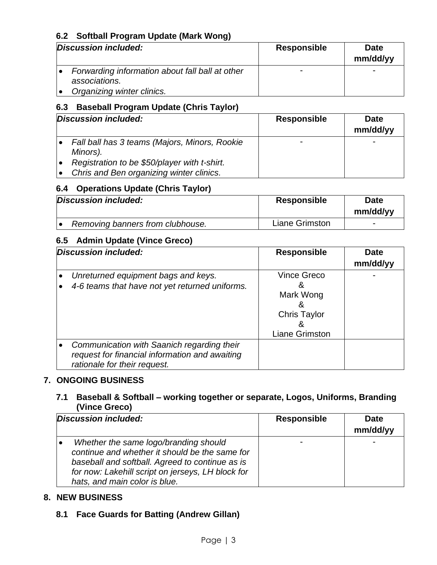#### **6.2 Softball Program Update (Mark Wong)**

| Discussion included:                                             | <b>Responsible</b> | <b>Date</b><br>mm/dd/yy |
|------------------------------------------------------------------|--------------------|-------------------------|
| Forwarding information about fall ball at other<br>associations. |                    |                         |
| Organizing winter clinics.                                       |                    |                         |

#### **6.3 Baseball Program Update (Chris Taylor)**

| Discussion included:                                      | <b>Responsible</b> | <b>Date</b><br>mm/dd/yy |
|-----------------------------------------------------------|--------------------|-------------------------|
| Fall ball has 3 teams (Majors, Minors, Rookie<br>Minors). |                    |                         |
| Registration to be \$50/player with t-shirt.              |                    |                         |
| Chris and Ben organizing winter clinics.                  |                    |                         |

#### **6.4 Operations Update (Chris Taylor)**

| Discussion included:             | <b>Responsible</b> | <b>Date</b><br>mm/dd/yy |
|----------------------------------|--------------------|-------------------------|
| Removing banners from clubhouse. | Liane Grimston     |                         |

## **6.5 Admin Update (Vince Greco)**

| Discussion included: |                                                                                                                              | <b>Responsible</b>                                                     | <b>Date</b><br>mm/dd/yy |
|----------------------|------------------------------------------------------------------------------------------------------------------------------|------------------------------------------------------------------------|-------------------------|
|                      | Unreturned equipment bags and keys.<br>4-6 teams that have not yet returned uniforms.                                        | Vince Greco<br>ă<br>Mark Wong<br><b>Chris Taylor</b><br>Liane Grimston |                         |
|                      | Communication with Saanich regarding their<br>request for financial information and awaiting<br>rationale for their request. |                                                                        |                         |

## **7. ONGOING BUSINESS**

#### **7.1 Baseball & Softball – working together or separate, Logos, Uniforms, Branding (Vince Greco)**

| Discussion included: |                                                                                                                                                                                                                                  | <b>Responsible</b> | <b>Date</b><br>mm/dd/yy |
|----------------------|----------------------------------------------------------------------------------------------------------------------------------------------------------------------------------------------------------------------------------|--------------------|-------------------------|
|                      | Whether the same logo/branding should<br>continue and whether it should be the same for<br>baseball and softball. Agreed to continue as is<br>for now: Lakehill script on jerseys, LH block for<br>hats, and main color is blue. |                    |                         |

#### **8. NEW BUSINESS**

## **8.1 Face Guards for Batting (Andrew Gillan)**